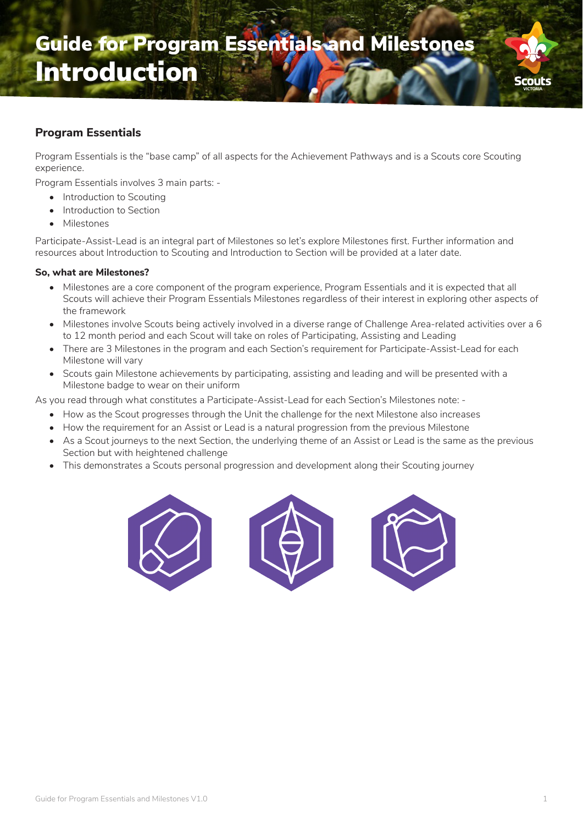

## **Program Essentials**

Program Essentials is the "base camp" of all aspects for the Achievement Pathways and is a Scouts core Scouting experience.

Program Essentials involves 3 main parts: -

- Introduction to Scouting
- Introduction to Section
- Milestones

Participate-Assist-Lead is an integral part of Milestones so let's explore Milestones first. Further information and resources about Introduction to Scouting and Introduction to Section will be provided at a later date.

## **So, what are Milestones?**

- Milestones are a core component of the program experience, Program Essentials and it is expected that all Scouts will achieve their Program Essentials Milestones regardless of their interest in exploring other aspects of the framework
- Milestones involve Scouts being actively involved in a diverse range of Challenge Area-related activities over a 6 to 12 month period and each Scout will take on roles of Participating, Assisting and Leading
- There are 3 Milestones in the program and each Section's requirement for Participate-Assist-Lead for each Milestone will vary
- Scouts gain Milestone achievements by participating, assisting and leading and will be presented with a Milestone badge to wear on their uniform

As you read through what constitutes a Participate-Assist-Lead for each Section's Milestones note: -

- How as the Scout progresses through the Unit the challenge for the next Milestone also increases
- How the requirement for an Assist or Lead is a natural progression from the previous Milestone
- As a Scout journeys to the next Section, the underlying theme of an Assist or Lead is the same as the previous Section but with heightened challenge
- This demonstrates a Scouts personal progression and development along their Scouting journey





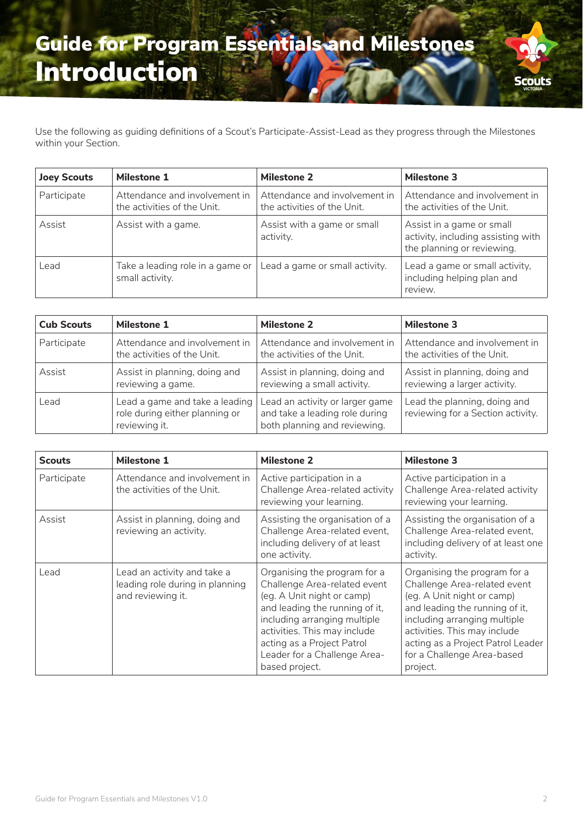## Guide for Program Essentials and Milestones Introduction



Use the following as guiding definitions of a Scout's Participate-Assist-Lead as they progress through the Milestones within your Section.

| <b>Joey Scouts</b> | <b>Milestone 1</b>                                           | <b>Milestone 2</b>                                           | <b>Milestone 3</b>                                                                            |
|--------------------|--------------------------------------------------------------|--------------------------------------------------------------|-----------------------------------------------------------------------------------------------|
| Participate        | Attendance and involvement in<br>the activities of the Unit. | Attendance and involvement in<br>the activities of the Unit. | Attendance and involvement in<br>the activities of the Unit.                                  |
| Assist             | Assist with a game.                                          | Assist with a game or small<br>activity.                     | Assist in a game or small<br>activity, including assisting with<br>the planning or reviewing. |
| Lead               | Take a leading role in a game or<br>small activity.          | Lead a game or small activity.                               | Lead a game or small activity,<br>including helping plan and<br>review.                       |

| <b>Cub Scouts</b> | <b>Milestone 1</b>                                                                | <b>Milestone 2</b>                                                                                | <b>Milestone 3</b>                                                |
|-------------------|-----------------------------------------------------------------------------------|---------------------------------------------------------------------------------------------------|-------------------------------------------------------------------|
| Participate       | Attendance and involvement in                                                     | Attendance and involvement in                                                                     | Attendance and involvement in                                     |
|                   | the activities of the Unit.                                                       | the activities of the Unit.                                                                       | the activities of the Unit.                                       |
| Assist            | Assist in planning, doing and                                                     | Assist in planning, doing and                                                                     | Assist in planning, doing and                                     |
|                   | reviewing a game.                                                                 | reviewing a small activity.                                                                       | reviewing a larger activity.                                      |
| Lead              | Lead a game and take a leading<br>role during either planning or<br>reviewing it. | Lead an activity or larger game<br>and take a leading role during<br>both planning and reviewing. | Lead the planning, doing and<br>reviewing for a Section activity. |

| <b>Scouts</b> | <b>Milestone 1</b>                                                                  | <b>Milestone 2</b>                                                                                                                                                                                                                                                           | <b>Milestone 3</b>                                                                                                                                                                                                                                                          |
|---------------|-------------------------------------------------------------------------------------|------------------------------------------------------------------------------------------------------------------------------------------------------------------------------------------------------------------------------------------------------------------------------|-----------------------------------------------------------------------------------------------------------------------------------------------------------------------------------------------------------------------------------------------------------------------------|
| Participate   | Attendance and involvement in<br>the activities of the Unit.                        | Active participation in a<br>Challenge Area-related activity<br>reviewing your learning.                                                                                                                                                                                     | Active participation in a<br>Challenge Area-related activity<br>reviewing your learning.                                                                                                                                                                                    |
| Assist        | Assist in planning, doing and<br>reviewing an activity.                             | Assisting the organisation of a<br>Challenge Area-related event,<br>including delivery of at least<br>one activity.                                                                                                                                                          | Assisting the organisation of a<br>Challenge Area-related event,<br>including delivery of at least one<br>activity.                                                                                                                                                         |
| Lead          | Lead an activity and take a<br>leading role during in planning<br>and reviewing it. | Organising the program for a<br>Challenge Area-related event<br>(eg. A Unit night or camp)<br>and leading the running of it,<br>including arranging multiple<br>activities. This may include<br>acting as a Project Patrol<br>Leader for a Challenge Area-<br>based project. | Organising the program for a<br>Challenge Area-related event<br>(eg. A Unit night or camp)<br>and leading the running of it,<br>including arranging multiple<br>activities. This may include<br>acting as a Project Patrol Leader<br>for a Challenge Area-based<br>project. |